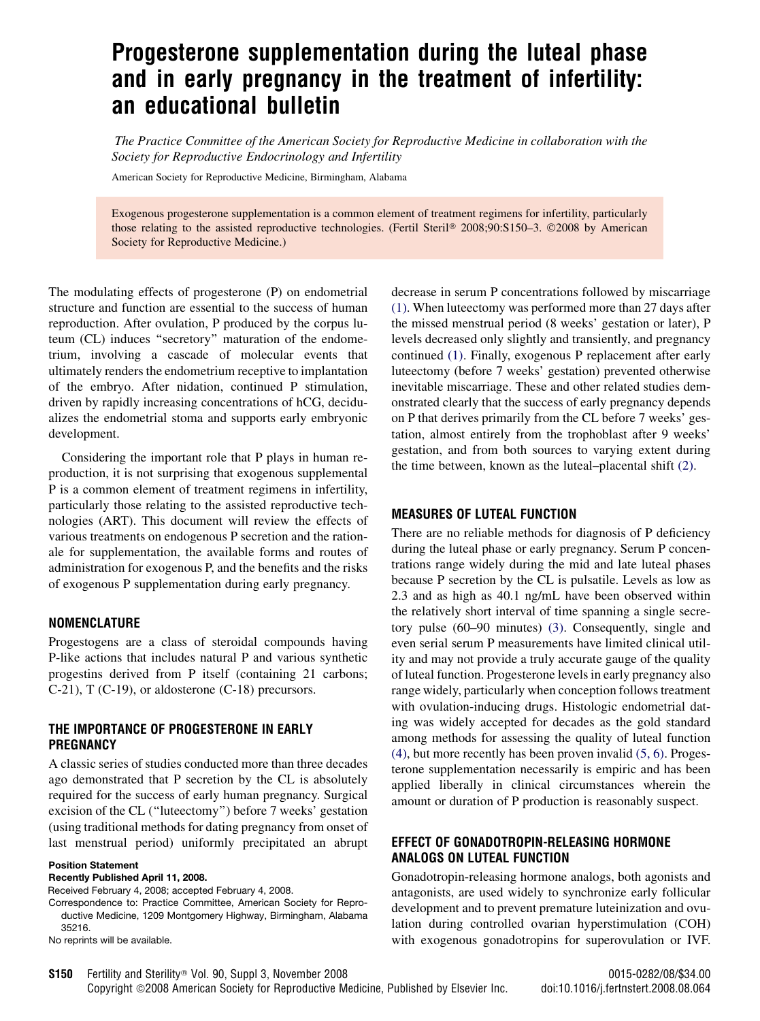# Progesterone supplementation during the luteal phase and in early pregnancy in the treatment of infertility: an educational bulletin

The Practice Committee of the American Society for Reproductive Medicine in collaboration with the Society for Reproductive Endocrinology and Infertility

American Society for Reproductive Medicine, Birmingham, Alabama

Exogenous progesterone supplementation is a common element of treatment regimens for infertility, particularly those relating to the assisted reproductive technologies. (Fertil Steril® 2008;90:S150-3. ©2008 by American Society for Reproductive Medicine.)

The modulating effects of progesterone (P) on endometrial structure and function are essential to the success of human reproduction. After ovulation, P produced by the corpus luteum (CL) induces ''secretory'' maturation of the endometrium, involving a cascade of molecular events that ultimately renders the endometrium receptive to implantation of the embryo. After nidation, continued P stimulation, driven by rapidly increasing concentrations of hCG, decidualizes the endometrial stoma and supports early embryonic development.

Considering the important role that P plays in human reproduction, it is not surprising that exogenous supplemental P is a common element of treatment regimens in infertility, particularly those relating to the assisted reproductive technologies (ART). This document will review the effects of various treatments on endogenous P secretion and the rationale for supplementation, the available forms and routes of administration for exogenous P, and the benefits and the risks of exogenous P supplementation during early pregnancy.

#### NOMENCLATURE

Progestogens are a class of steroidal compounds having P-like actions that includes natural P and various synthetic progestins derived from P itself (containing 21 carbons; C-21), T (C-19), or aldosterone (C-18) precursors.

# THE IMPORTANCE OF PROGESTERONE IN EARLY PREGNANCY

A classic series of studies conducted more than three decades ago demonstrated that P secretion by the CL is absolutely required for the success of early human pregnancy. Surgical excision of the CL (''luteectomy'') before 7 weeks' gestation (using traditional methods for dating pregnancy from onset of last menstrual period) uniformly precipitated an abrupt

#### Position Statement

Recently Published April 11, 2008.

Received February 4, 2008; accepted February 4, 2008.

Correspondence to: Practice Committee, American Society for Reproductive Medicine, 1209 Montgomery Highway, Birmingham, Alabama 35216.

No reprints will be available.

decrease in serum P concentrations followed by miscarriage [\(1\).](#page-2-0) When luteectomy was performed more than 27 days after the missed menstrual period (8 weeks' gestation or later), P levels decreased only slightly and transiently, and pregnancy continued [\(1\)](#page-2-0). Finally, exogenous P replacement after early luteectomy (before 7 weeks' gestation) prevented otherwise inevitable miscarriage. These and other related studies demonstrated clearly that the success of early pregnancy depends on P that derives primarily from the CL before 7 weeks' gestation, almost entirely from the trophoblast after 9 weeks' gestation, and from both sources to varying extent during the time between, known as the luteal–placental shift [\(2\).](#page-2-0)

#### MEASURES OF LUTEAL FUNCTION

There are no reliable methods for diagnosis of P deficiency during the luteal phase or early pregnancy. Serum P concentrations range widely during the mid and late luteal phases because P secretion by the CL is pulsatile. Levels as low as 2.3 and as high as 40.1 ng/mL have been observed within the relatively short interval of time spanning a single secretory pulse (60–90 minutes) [\(3\)](#page-2-0). Consequently, single and even serial serum P measurements have limited clinical utility and may not provide a truly accurate gauge of the quality of luteal function. Progesterone levels in early pregnancy also range widely, particularly when conception follows treatment with ovulation-inducing drugs. Histologic endometrial dating was widely accepted for decades as the gold standard among methods for assessing the quality of luteal function [\(4\),](#page-2-0) but more recently has been proven invalid [\(5, 6\).](#page-2-0) Progesterone supplementation necessarily is empiric and has been applied liberally in clinical circumstances wherein the amount or duration of P production is reasonably suspect.

# EFFECT OF GONADOTROPIN-RELEASING HORMONE ANALOGS ON LUTEAL FUNCTION

Gonadotropin-releasing hormone analogs, both agonists and antagonists, are used widely to synchronize early follicular development and to prevent premature luteinization and ovulation during controlled ovarian hyperstimulation (COH) with exogenous gonadotropins for superovulation or IVF.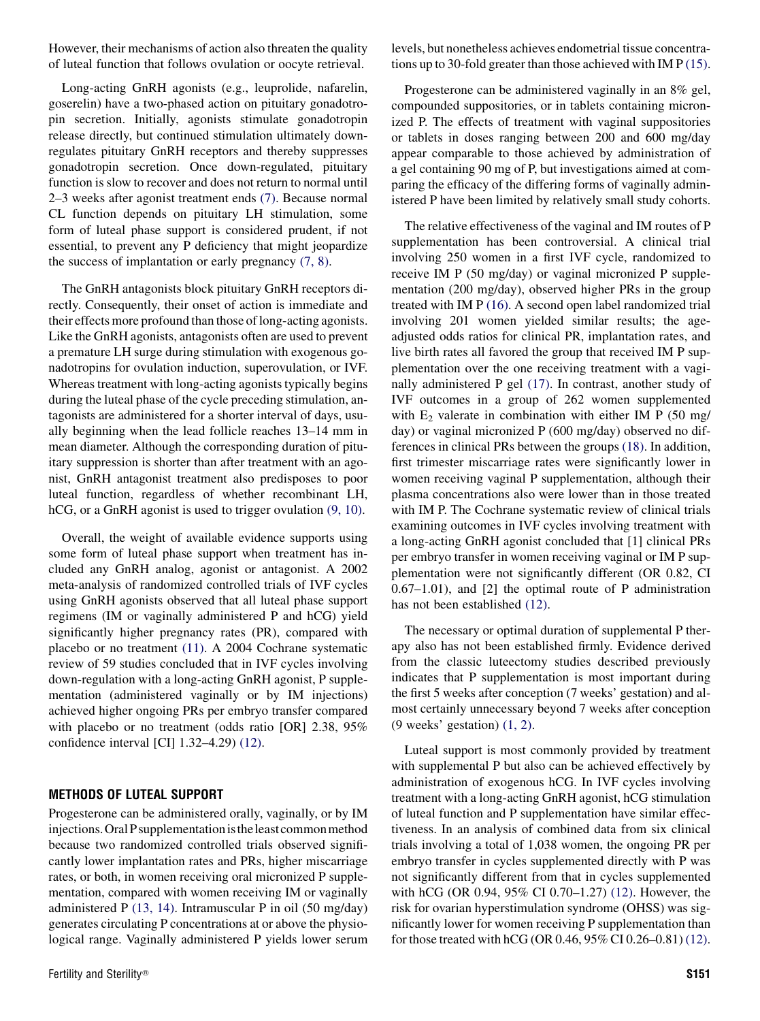However, their mechanisms of action also threaten the quality of luteal function that follows ovulation or oocyte retrieval.

Long-acting GnRH agonists (e.g., leuprolide, nafarelin, goserelin) have a two-phased action on pituitary gonadotropin secretion. Initially, agonists stimulate gonadotropin release directly, but continued stimulation ultimately downregulates pituitary GnRH receptors and thereby suppresses gonadotropin secretion. Once down-regulated, pituitary function is slow to recover and does not return to normal until 2–3 weeks after agonist treatment ends [\(7\)](#page-2-0). Because normal CL function depends on pituitary LH stimulation, some form of luteal phase support is considered prudent, if not essential, to prevent any P deficiency that might jeopardize the success of implantation or early pregnancy [\(7, 8\)](#page-2-0).

The GnRH antagonists block pituitary GnRH receptors directly. Consequently, their onset of action is immediate and their effects more profound than those of long-acting agonists. Like the GnRH agonists, antagonists often are used to prevent a premature LH surge during stimulation with exogenous gonadotropins for ovulation induction, superovulation, or IVF. Whereas treatment with long-acting agonists typically begins during the luteal phase of the cycle preceding stimulation, antagonists are administered for a shorter interval of days, usually beginning when the lead follicle reaches 13–14 mm in mean diameter. Although the corresponding duration of pituitary suppression is shorter than after treatment with an agonist, GnRH antagonist treatment also predisposes to poor luteal function, regardless of whether recombinant LH, hCG, or a GnRH agonist is used to trigger ovulation  $(9, 10)$ .

Overall, the weight of available evidence supports using some form of luteal phase support when treatment has included any GnRH analog, agonist or antagonist. A 2002 meta-analysis of randomized controlled trials of IVF cycles using GnRH agonists observed that all luteal phase support regimens (IM or vaginally administered P and hCG) yield significantly higher pregnancy rates (PR), compared with placebo or no treatment [\(11\).](#page-3-0) A 2004 Cochrane systematic review of 59 studies concluded that in IVF cycles involving down-regulation with a long-acting GnRH agonist, P supplementation (administered vaginally or by IM injections) achieved higher ongoing PRs per embryo transfer compared with placebo or no treatment (odds ratio [OR] 2.38, 95% confidence interval [CI] 1.32–4.29) [\(12\)](#page-3-0).

# METHODS OF LUTEAL SUPPORT

Progesterone can be administered orally, vaginally, or by IM injections. Oral P supplementation is the least common method because two randomized controlled trials observed significantly lower implantation rates and PRs, higher miscarriage rates, or both, in women receiving oral micronized P supplementation, compared with women receiving IM or vaginally administered P [\(13, 14\)](#page-3-0). Intramuscular P in oil (50 mg/day) generates circulating P concentrations at or above the physiological range. Vaginally administered P yields lower serum levels, but nonetheless achieves endometrial tissue concentrations up to 30-fold greater than those achieved with IM P [\(15\)](#page-3-0).

Progesterone can be administered vaginally in an 8% gel, compounded suppositories, or in tablets containing micronized P. The effects of treatment with vaginal suppositories or tablets in doses ranging between 200 and 600 mg/day appear comparable to those achieved by administration of a gel containing 90 mg of P, but investigations aimed at comparing the efficacy of the differing forms of vaginally administered P have been limited by relatively small study cohorts.

The relative effectiveness of the vaginal and IM routes of P supplementation has been controversial. A clinical trial involving 250 women in a first IVF cycle, randomized to receive IM P (50 mg/day) or vaginal micronized P supplementation (200 mg/day), observed higher PRs in the group treated with IM P [\(16\)](#page-3-0). A second open label randomized trial involving 201 women yielded similar results; the ageadjusted odds ratios for clinical PR, implantation rates, and live birth rates all favored the group that received IM P supplementation over the one receiving treatment with a vaginally administered P gel [\(17\).](#page-3-0) In contrast, another study of IVF outcomes in a group of 262 women supplemented with  $E_2$  valerate in combination with either IM P (50 mg/ day) or vaginal micronized P (600 mg/day) observed no differences in clinical PRs between the groups [\(18\)](#page-3-0). In addition, first trimester miscarriage rates were significantly lower in women receiving vaginal P supplementation, although their plasma concentrations also were lower than in those treated with IM P. The Cochrane systematic review of clinical trials examining outcomes in IVF cycles involving treatment with a long-acting GnRH agonist concluded that [1] clinical PRs per embryo transfer in women receiving vaginal or IM P supplementation were not significantly different (OR 0.82, CI 0.67–1.01), and [2] the optimal route of P administration has not been established [\(12\).](#page-3-0)

The necessary or optimal duration of supplemental P therapy also has not been established firmly. Evidence derived from the classic luteectomy studies described previously indicates that P supplementation is most important during the first 5 weeks after conception (7 weeks' gestation) and almost certainly unnecessary beyond 7 weeks after conception (9 weeks' gestation) [\(1, 2\)](#page-2-0).

Luteal support is most commonly provided by treatment with supplemental P but also can be achieved effectively by administration of exogenous hCG. In IVF cycles involving treatment with a long-acting GnRH agonist, hCG stimulation of luteal function and P supplementation have similar effectiveness. In an analysis of combined data from six clinical trials involving a total of 1,038 women, the ongoing PR per embryo transfer in cycles supplemented directly with P was not significantly different from that in cycles supplemented with hCG (OR 0.94, 95% CI 0.70–1.27) [\(12\).](#page-3-0) However, the risk for ovarian hyperstimulation syndrome (OHSS) was significantly lower for women receiving P supplementation than for those treated with hCG (OR 0.46, 95% CI 0.26–0.81) [\(12\)](#page-3-0).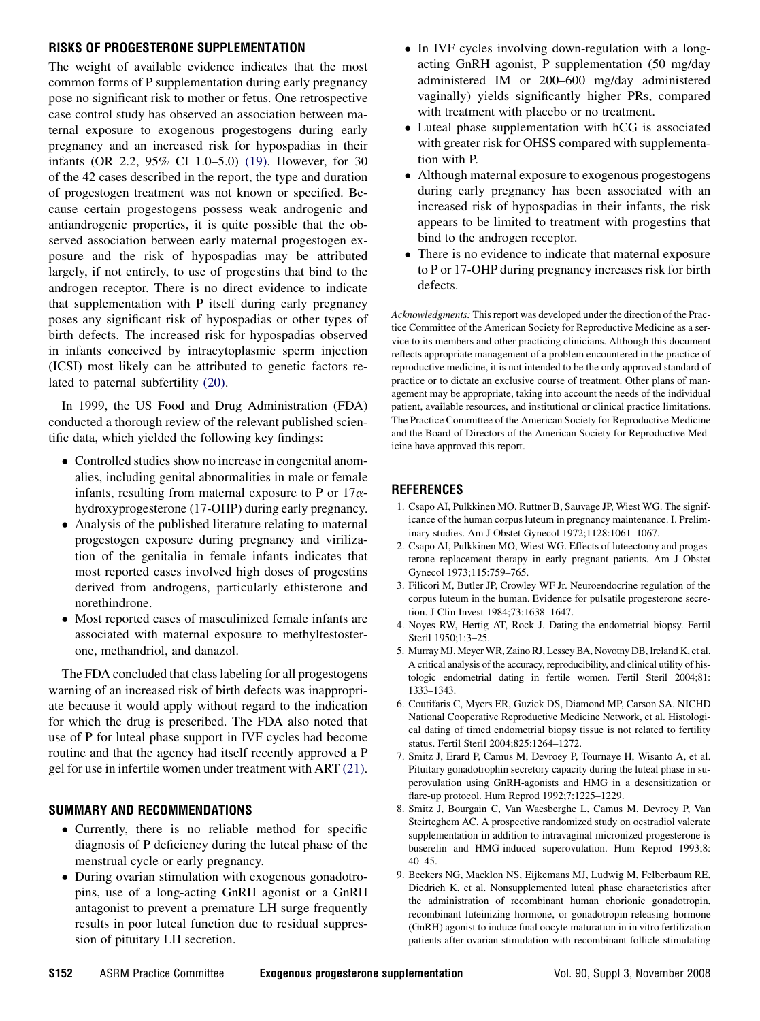# <span id="page-2-0"></span>RISKS OF PROGESTERONE SUPPLEMENTATION

The weight of available evidence indicates that the most common forms of P supplementation during early pregnancy pose no significant risk to mother or fetus. One retrospective case control study has observed an association between maternal exposure to exogenous progestogens during early pregnancy and an increased risk for hypospadias in their infants (OR 2.2, 95% CI 1.0–5.0) [\(19\).](#page-3-0) However, for 30 of the 42 cases described in the report, the type and duration of progestogen treatment was not known or specified. Because certain progestogens possess weak androgenic and antiandrogenic properties, it is quite possible that the observed association between early maternal progestogen exposure and the risk of hypospadias may be attributed largely, if not entirely, to use of progestins that bind to the androgen receptor. There is no direct evidence to indicate that supplementation with P itself during early pregnancy poses any significant risk of hypospadias or other types of birth defects. The increased risk for hypospadias observed in infants conceived by intracytoplasmic sperm injection (ICSI) most likely can be attributed to genetic factors related to paternal subfertility [\(20\).](#page-3-0)

In 1999, the US Food and Drug Administration (FDA) conducted a thorough review of the relevant published scientific data, which yielded the following key findings:

- Controlled studies show no increase in congenital anomalies, including genital abnormalities in male or female infants, resulting from maternal exposure to P or  $17\alpha$ hydroxyprogesterone (17-OHP) during early pregnancy.
- Analysis of the published literature relating to maternal progestogen exposure during pregnancy and virilization of the genitalia in female infants indicates that most reported cases involved high doses of progestins derived from androgens, particularly ethisterone and norethindrone.
- Most reported cases of masculinized female infants are associated with maternal exposure to methyltestosterone, methandriol, and danazol.

The FDA concluded that class labeling for all progestogens warning of an increased risk of birth defects was inappropriate because it would apply without regard to the indication for which the drug is prescribed. The FDA also noted that use of P for luteal phase support in IVF cycles had become routine and that the agency had itself recently approved a P gel for use in infertile women under treatment with ART [\(21\)](#page-3-0).

# SUMMARY AND RECOMMENDATIONS

- Currently, there is no reliable method for specific diagnosis of P deficiency during the luteal phase of the menstrual cycle or early pregnancy.
- During ovarian stimulation with exogenous gonadotropins, use of a long-acting GnRH agonist or a GnRH antagonist to prevent a premature LH surge frequently results in poor luteal function due to residual suppression of pituitary LH secretion.
- In IVF cycles involving down-regulation with a longacting GnRH agonist, P supplementation (50 mg/day administered IM or 200–600 mg/day administered vaginally) yields significantly higher PRs, compared with treatment with placebo or no treatment.
- Luteal phase supplementation with hCG is associated with greater risk for OHSS compared with supplementation with P.
- Although maternal exposure to exogenous progestogens during early pregnancy has been associated with an increased risk of hypospadias in their infants, the risk appears to be limited to treatment with progestins that bind to the androgen receptor.
- There is no evidence to indicate that maternal exposure to P or 17-OHP during pregnancy increases risk for birth defects.

Acknowledgments: This report was developed under the direction of the Practice Committee of the American Society for Reproductive Medicine as a service to its members and other practicing clinicians. Although this document reflects appropriate management of a problem encountered in the practice of reproductive medicine, it is not intended to be the only approved standard of practice or to dictate an exclusive course of treatment. Other plans of management may be appropriate, taking into account the needs of the individual patient, available resources, and institutional or clinical practice limitations. The Practice Committee of the American Society for Reproductive Medicine and the Board of Directors of the American Society for Reproductive Medicine have approved this report.

# REFERENCES

- 1. Csapo AI, Pulkkinen MO, Ruttner B, Sauvage JP, Wiest WG. The significance of the human corpus luteum in pregnancy maintenance. I. Preliminary studies. Am J Obstet Gynecol 1972;1128:1061–1067.
- 2. Csapo AI, Pulkkinen MO, Wiest WG. Effects of luteectomy and progesterone replacement therapy in early pregnant patients. Am J Obstet Gynecol 1973;115:759–765.
- 3. Filicori M, Butler JP, Crowley WF Jr. Neuroendocrine regulation of the corpus luteum in the human. Evidence for pulsatile progesterone secretion. J Clin Invest 1984;73:1638–1647.
- 4. Noyes RW, Hertig AT, Rock J. Dating the endometrial biopsy. Fertil Steril 1950;1:3–25.
- 5. Murray MJ, Meyer WR, Zaino RJ, Lessey BA, Novotny DB, Ireland K, et al. A critical analysis of the accuracy, reproducibility, and clinical utility of histologic endometrial dating in fertile women. Fertil Steril 2004;81: 1333–1343.
- 6. Coutifaris C, Myers ER, Guzick DS, Diamond MP, Carson SA. NICHD National Cooperative Reproductive Medicine Network, et al. Histological dating of timed endometrial biopsy tissue is not related to fertility status. Fertil Steril 2004;825:1264–1272.
- 7. Smitz J, Erard P, Camus M, Devroey P, Tournaye H, Wisanto A, et al. Pituitary gonadotrophin secretory capacity during the luteal phase in superovulation using GnRH-agonists and HMG in a desensitization or flare-up protocol. Hum Reprod 1992;7:1225–1229.
- 8. Smitz J, Bourgain C, Van Waesberghe L, Camus M, Devroey P, Van Steirteghem AC. A prospective randomized study on oestradiol valerate supplementation in addition to intravaginal micronized progesterone is buserelin and HMG-induced superovulation. Hum Reprod 1993;8: 40–45.
- 9. Beckers NG, Macklon NS, Eijkemans MJ, Ludwig M, Felberbaum RE, Diedrich K, et al. Nonsupplemented luteal phase characteristics after the administration of recombinant human chorionic gonadotropin, recombinant luteinizing hormone, or gonadotropin-releasing hormone (GnRH) agonist to induce final oocyte maturation in in vitro fertilization patients after ovarian stimulation with recombinant follicle-stimulating